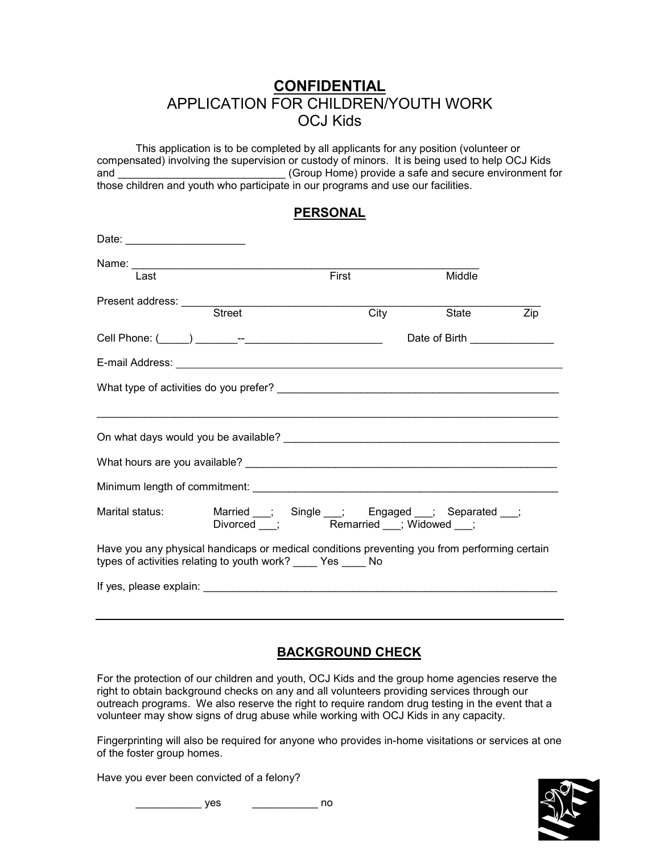## **CONFIDENTIAL** APPLICATION FOR CHILDREN/YOUTH WORK OCJ Kids

This application is to be completed by all applicants for any position (volunteer or compensated) involving the supervision or custody of minors. It is being used to help OCJ Kids and and and  $(Group Home)$  provide a safe and secure environment for those children and youth who participate in our programs and use our facilities.

|--|

| Date: __________________________                                                                                                                               |                                                                                            |      |                               |     |
|----------------------------------------------------------------------------------------------------------------------------------------------------------------|--------------------------------------------------------------------------------------------|------|-------------------------------|-----|
|                                                                                                                                                                |                                                                                            |      |                               |     |
| Last                                                                                                                                                           | First                                                                                      |      | Middle                        |     |
| Street                                                                                                                                                         |                                                                                            | City | State                         | Zip |
|                                                                                                                                                                |                                                                                            |      | Date of Birth _______________ |     |
|                                                                                                                                                                |                                                                                            |      |                               |     |
|                                                                                                                                                                |                                                                                            |      |                               |     |
|                                                                                                                                                                |                                                                                            |      |                               |     |
|                                                                                                                                                                |                                                                                            |      |                               |     |
|                                                                                                                                                                |                                                                                            |      |                               |     |
| Marital status: www.                                                                                                                                           | Married __; Single __; Engaged __; Separated __;<br>Divorced __; Remarried __; Widowed __; |      |                               |     |
| Have you any physical handicaps or medical conditions preventing you from performing certain<br>types of activities relating to youth work? _____ Yes _____ No |                                                                                            |      |                               |     |
|                                                                                                                                                                |                                                                                            |      |                               |     |

## **BACKGROUND CHECK**

For the protection of our children and youth, OCJ Kids and the group home agencies reserve the right to obtain background checks on any and all volunteers providing services through our outreach programs. We also reserve the right to require random drug testing in the event that a volunteer may show signs of drug abuse while working with OCJ Kids in any capacity.

Fingerprinting will also be required for anyone who provides in-home visitations or services at one of the foster group homes.

Have you ever been convicted of a felony?

\_\_\_\_\_\_\_\_\_ yes \_\_\_\_\_\_\_\_\_\_\_\_\_\_\_\_ no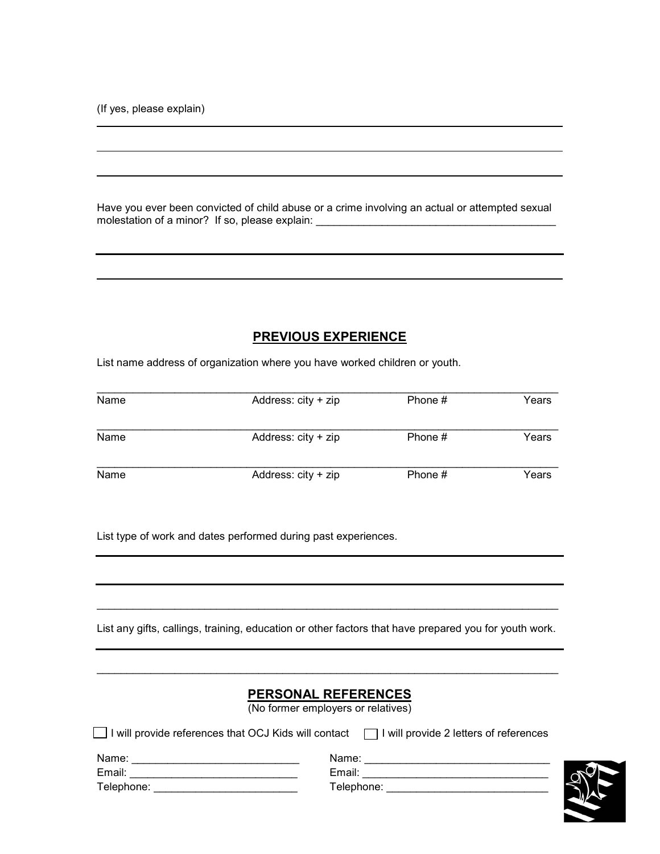(If yes, please explain)

l

 $\ddot{\phantom{a}}$ 

Have you ever been convicted of child abuse or a crime involving an actual or attempted sexual molestation of a minor? If so, please explain: \_\_\_\_\_\_\_\_\_\_\_\_\_\_\_\_\_\_\_\_\_\_\_\_\_\_\_\_\_\_\_\_\_\_

## **PREVIOUS EXPERIENCE**

List name address of organization where you have worked children or youth.

| Name | Address: $city + zip$ | Phone # | Years |
|------|-----------------------|---------|-------|
| Name | Address: $city + zip$ | Phone # | Years |
| Name | Address: city + zip   | Phone # | Years |

List type of work and dates performed during past experiences.

List any gifts, callings, training, education or other factors that have prepared you for youth work.

\_\_\_\_\_\_\_\_\_\_\_\_\_\_\_\_\_\_\_\_\_\_\_\_\_\_\_\_\_\_\_\_\_\_\_\_\_\_\_\_\_\_\_\_\_\_\_\_\_\_\_\_\_\_\_\_\_\_\_\_\_\_\_\_\_\_\_\_\_\_\_\_\_\_\_\_\_

|            | <b>PERSONAL REFERENCES</b><br>(No former employers or relatives)                                    |  |
|------------|-----------------------------------------------------------------------------------------------------|--|
|            |                                                                                                     |  |
|            | $□$ I will provide references that OCJ Kids will contact $□$ I will provide 2 letters of references |  |
| Name:      | Name:                                                                                               |  |
| Email:     | Email: Email:                                                                                       |  |
| Telephone: | Telephone:                                                                                          |  |